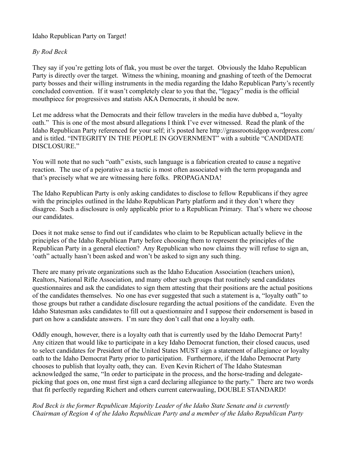Idaho Republican Party on Target!

## *By Rod Beck*

They say if you're getting lots of flak, you must be over the target. Obviously the Idaho Republican Party is directly over the target. Witness the whining, moaning and gnashing of teeth of the Democrat party bosses and their willing instruments in the media regarding the Idaho Republican Party's recently concluded convention. If it wasn't completely clear to you that the, "legacy" media is the official mouthpiece for progressives and statists AKA Democrats, it should be now.

Let me address what the Democrats and their fellow travelers in the media have dubbed a, "loyalty oath." This is one of the most absurd allegations I think I've ever witnessed. Read the plank of the Idaho Republican Party referenced for your self; it's posted here http://grassrootsidgop.wordpress.com/ and is titled. "INTEGRITY IN THE PEOPLE IN GOVERNMENT" with a subtitle "CANDIDATE DISCLOSURE."

You will note that no such "oath" exists, such language is a fabrication created to cause a negative reaction. The use of a pejorative as a tactic is most often associated with the term propaganda and that's precisely what we are witnessing here folks. PROPAGANDA!

The Idaho Republican Party is only asking candidates to disclose to fellow Republicans if they agree with the principles outlined in the Idaho Republican Party platform and it they don't where they disagree. Such a disclosure is only applicable prior to a Republican Primary. That's where we choose our candidates.

Does it not make sense to find out if candidates who claim to be Republican actually believe in the principles of the Idaho Republican Party before choosing them to represent the principles of the Republican Party in a general election? Any Republican who now claims they will refuse to sign an, 'oath" actually hasn't been asked and won't be asked to sign any such thing.

There are many private organizations such as the Idaho Education Association (teachers union), Realtors, National Rifle Association, and many other such groups that routinely send candidates questionnaires and ask the candidates to sign them attesting that their positions are the actual positions of the candidates themselves. No one has ever suggested that such a statement is a, "loyalty oath" to those groups but rather a candidate disclosure regarding the actual positions of the candidate. Even the Idaho Statesman asks candidates to fill out a questionnaire and I suppose their endorsement is based in part on how a candidate answers. I'm sure they don't call that one a loyalty oath.

Oddly enough, however, there is a loyalty oath that is currently used by the Idaho Democrat Party! Any citizen that would like to participate in a key Idaho Democrat function, their closed caucus, used to select candidates for President of the United States MUST sign a statement of allegiance or loyalty oath to the Idaho Democrat Party prior to participation. Furthermore, if the Idaho Democrat Party chooses to publish that loyalty oath, they can. Even Kevin Richert of The Idaho Statesman acknowledged the same, "In order to participate in the process, and the horse-trading and delegatepicking that goes on, one must first sign a card declaring allegiance to the party." There are two words that fit perfectly regarding Richert and others current caterwauling, DOUBLE STANDARD!

*Rod Beck is the former Republican Majority Leader of the Idaho State Senate and is currently Chairman of Region 4 of the Idaho Republican Party and a member of the Idaho Republican Party*